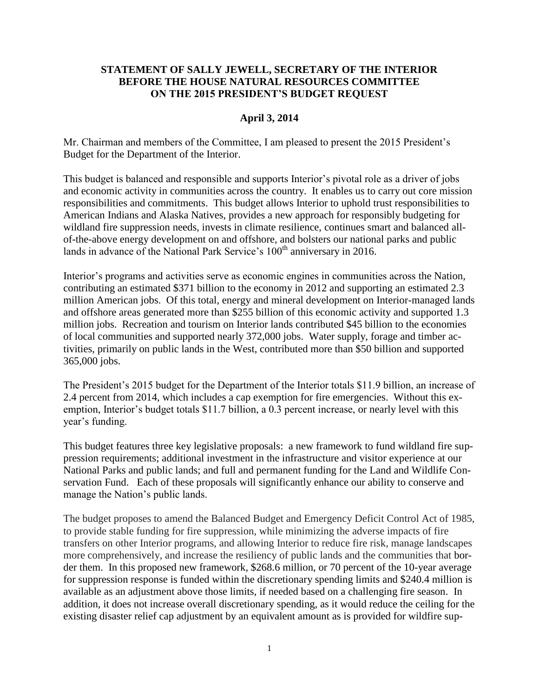## **STATEMENT OF SALLY JEWELL, SECRETARY OF THE INTERIOR BEFORE THE HOUSE NATURAL RESOURCES COMMITTEE ON THE 2015 PRESIDENT'S BUDGET REQUEST**

#### **April 3, 2014**

Mr. Chairman and members of the Committee, I am pleased to present the 2015 President's Budget for the Department of the Interior.

This budget is balanced and responsible and supports Interior's pivotal role as a driver of jobs and economic activity in communities across the country. It enables us to carry out core mission responsibilities and commitments. This budget allows Interior to uphold trust responsibilities to American Indians and Alaska Natives, provides a new approach for responsibly budgeting for wildland fire suppression needs, invests in climate resilience, continues smart and balanced allof-the-above energy development on and offshore, and bolsters our national parks and public lands in advance of the National Park Service's  $100<sup>th</sup>$  anniversary in 2016.

Interior's programs and activities serve as economic engines in communities across the Nation, contributing an estimated \$371 billion to the economy in 2012 and supporting an estimated 2.3 million American jobs. Of this total, energy and mineral development on Interior-managed lands and offshore areas generated more than \$255 billion of this economic activity and supported 1.3 million jobs. Recreation and tourism on Interior lands contributed \$45 billion to the economies of local communities and supported nearly 372,000 jobs. Water supply, forage and timber activities, primarily on public lands in the West, contributed more than \$50 billion and supported 365,000 jobs.

The President's 2015 budget for the Department of the Interior totals \$11.9 billion, an increase of 2.4 percent from 2014, which includes a cap exemption for fire emergencies. Without this exemption, Interior's budget totals \$11.7 billion, a 0.3 percent increase, or nearly level with this year's funding.

This budget features three key legislative proposals: a new framework to fund wildland fire suppression requirements; additional investment in the infrastructure and visitor experience at our National Parks and public lands; and full and permanent funding for the Land and Wildlife Conservation Fund. Each of these proposals will significantly enhance our ability to conserve and manage the Nation's public lands.

The budget proposes to amend the Balanced Budget and Emergency Deficit Control Act of 1985, to provide stable funding for fire suppression, while minimizing the adverse impacts of fire transfers on other Interior programs, and allowing Interior to reduce fire risk, manage landscapes more comprehensively, and increase the resiliency of public lands and the communities that border them. In this proposed new framework, \$268.6 million, or 70 percent of the 10-year average for suppression response is funded within the discretionary spending limits and \$240.4 million is available as an adjustment above those limits, if needed based on a challenging fire season. In addition, it does not increase overall discretionary spending, as it would reduce the ceiling for the existing disaster relief cap adjustment by an equivalent amount as is provided for wildfire sup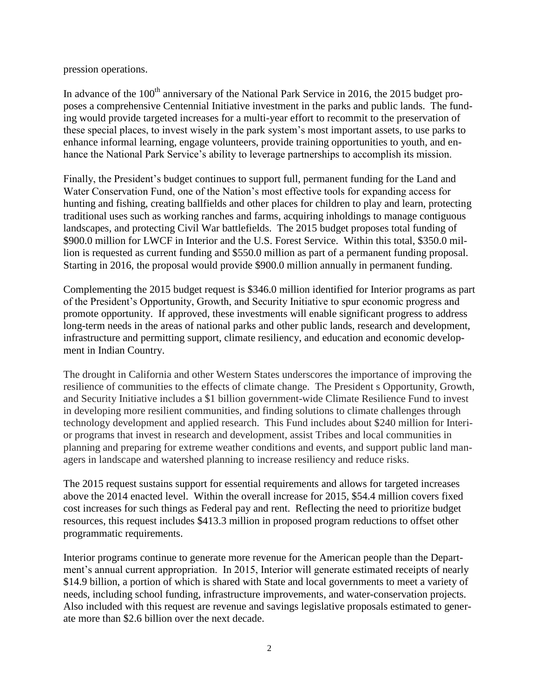pression operations.

In advance of the  $100<sup>th</sup>$  anniversary of the National Park Service in 2016, the 2015 budget proposes a comprehensive Centennial Initiative investment in the parks and public lands. The funding would provide targeted increases for a multi-year effort to recommit to the preservation of these special places, to invest wisely in the park system's most important assets, to use parks to enhance informal learning, engage volunteers, provide training opportunities to youth, and enhance the National Park Service's ability to leverage partnerships to accomplish its mission.

Finally, the President's budget continues to support full, permanent funding for the Land and Water Conservation Fund, one of the Nation's most effective tools for expanding access for hunting and fishing, creating ballfields and other places for children to play and learn, protecting traditional uses such as working ranches and farms, acquiring inholdings to manage contiguous landscapes, and protecting Civil War battlefields. The 2015 budget proposes total funding of \$900.0 million for LWCF in Interior and the U.S. Forest Service. Within this total, \$350.0 million is requested as current funding and \$550.0 million as part of a permanent funding proposal. Starting in 2016, the proposal would provide \$900.0 million annually in permanent funding.

Complementing the 2015 budget request is \$346.0 million identified for Interior programs as part of the President's Opportunity, Growth, and Security Initiative to spur economic progress and promote opportunity. If approved, these investments will enable significant progress to address long-term needs in the areas of national parks and other public lands, research and development, infrastructure and permitting support, climate resiliency, and education and economic development in Indian Country.

The drought in California and other Western States underscores the importance of improving the resilience of communities to the effects of climate change. The President s Opportunity, Growth, and Security Initiative includes a \$1 billion government-wide Climate Resilience Fund to invest in developing more resilient communities, and finding solutions to climate challenges through technology development and applied research. This Fund includes about \$240 million for Interior programs that invest in research and development, assist Tribes and local communities in planning and preparing for extreme weather conditions and events, and support public land managers in landscape and watershed planning to increase resiliency and reduce risks.

The 2015 request sustains support for essential requirements and allows for targeted increases above the 2014 enacted level. Within the overall increase for 2015, \$54.4 million covers fixed cost increases for such things as Federal pay and rent. Reflecting the need to prioritize budget resources, this request includes \$413.3 million in proposed program reductions to offset other programmatic requirements.

Interior programs continue to generate more revenue for the American people than the Department's annual current appropriation. In 2015, Interior will generate estimated receipts of nearly \$14.9 billion, a portion of which is shared with State and local governments to meet a variety of needs, including school funding, infrastructure improvements, and water-conservation projects. Also included with this request are revenue and savings legislative proposals estimated to generate more than \$2.6 billion over the next decade.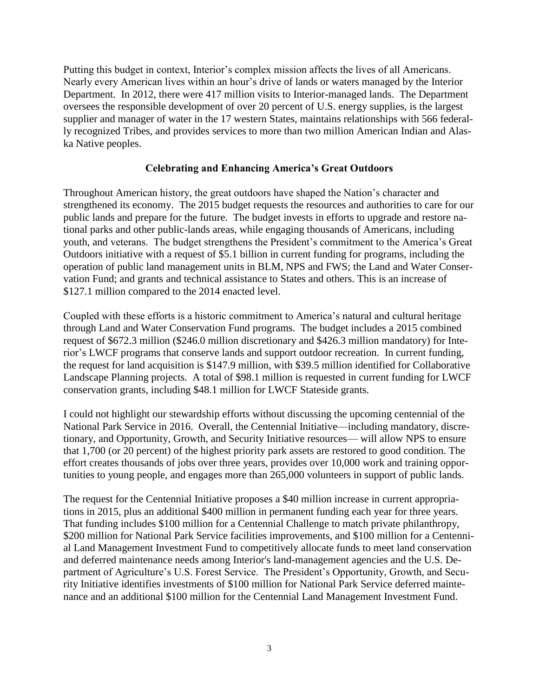Putting this budget in context, Interior's complex mission affects the lives of all Americans. Nearly every American lives within an hour's drive of lands or waters managed by the Interior Department. In 2012, there were 417 million visits to Interior-managed lands. The Department oversees the responsible development of over 20 percent of U.S. energy supplies, is the largest supplier and manager of water in the 17 western States, maintains relationships with 566 federally recognized Tribes, and provides services to more than two million American Indian and Alaska Native peoples.

### **Celebrating and Enhancing America's Great Outdoors**

Throughout American history, the great outdoors have shaped the Nation's character and strengthened its economy. The 2015 budget requests the resources and authorities to care for our public lands and prepare for the future. The budget invests in efforts to upgrade and restore national parks and other public-lands areas, while engaging thousands of Americans, including youth, and veterans. The budget strengthens the President's commitment to the America's Great Outdoors initiative with a request of \$5.1 billion in current funding for programs, including the operation of public land management units in BLM, NPS and FWS; the Land and Water Conservation Fund; and grants and technical assistance to States and others. This is an increase of \$127.1 million compared to the 2014 enacted level.

Coupled with these efforts is a historic commitment to America's natural and cultural heritage through Land and Water Conservation Fund programs. The budget includes a 2015 combined request of \$672.3 million (\$246.0 million discretionary and \$426.3 million mandatory) for Interior's LWCF programs that conserve lands and support outdoor recreation. In current funding, the request for land acquisition is \$147.9 million, with \$39.5 million identified for Collaborative Landscape Planning projects. A total of \$98.1 million is requested in current funding for LWCF conservation grants, including \$48.1 million for LWCF Stateside grants.

I could not highlight our stewardship efforts without discussing the upcoming centennial of the National Park Service in 2016. Overall, the Centennial Initiative—including mandatory, discretionary, and Opportunity, Growth, and Security Initiative resources— will allow NPS to ensure that 1,700 (or 20 percent) of the highest priority park assets are restored to good condition. The effort creates thousands of jobs over three years, provides over 10,000 work and training opportunities to young people, and engages more than 265,000 volunteers in support of public lands.

The request for the Centennial Initiative proposes a \$40 million increase in current appropriations in 2015, plus an additional \$400 million in permanent funding each year for three years. That funding includes \$100 million for a Centennial Challenge to match private philanthropy, \$200 million for National Park Service facilities improvements, and \$100 million for a Centennial Land Management Investment Fund to competitively allocate funds to meet land conservation and deferred maintenance needs among Interior's land-management agencies and the U.S. Department of Agriculture's U.S. Forest Service. The President's Opportunity, Growth, and Security Initiative identifies investments of \$100 million for National Park Service deferred maintenance and an additional \$100 million for the Centennial Land Management Investment Fund.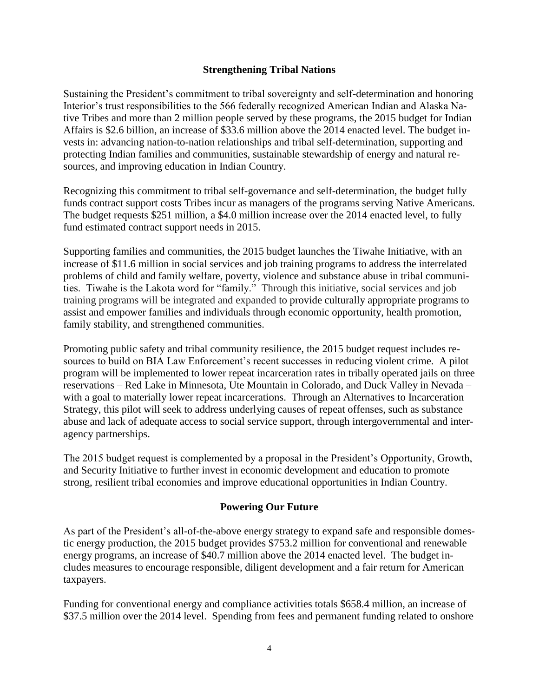## **Strengthening Tribal Nations**

Sustaining the President's commitment to tribal sovereignty and self-determination and honoring Interior's trust responsibilities to the 566 federally recognized American Indian and Alaska Native Tribes and more than 2 million people served by these programs, the 2015 budget for Indian Affairs is \$2.6 billion, an increase of \$33.6 million above the 2014 enacted level. The budget invests in: advancing nation-to-nation relationships and tribal self-determination, supporting and protecting Indian families and communities, sustainable stewardship of energy and natural resources, and improving education in Indian Country.

Recognizing this commitment to tribal self-governance and self-determination, the budget fully funds contract support costs Tribes incur as managers of the programs serving Native Americans. The budget requests \$251 million, a \$4.0 million increase over the 2014 enacted level, to fully fund estimated contract support needs in 2015.

Supporting families and communities, the 2015 budget launches the Tiwahe Initiative, with an increase of \$11.6 million in social services and job training programs to address the interrelated problems of child and family welfare, poverty, violence and substance abuse in tribal communities. Tiwahe is the Lakota word for "family." Through this initiative, social services and job training programs will be integrated and expanded to provide culturally appropriate programs to assist and empower families and individuals through economic opportunity, health promotion, family stability, and strengthened communities.

Promoting public safety and tribal community resilience, the 2015 budget request includes resources to build on BIA Law Enforcement's recent successes in reducing violent crime. A pilot program will be implemented to lower repeat incarceration rates in tribally operated jails on three reservations – Red Lake in Minnesota, Ute Mountain in Colorado, and Duck Valley in Nevada – with a goal to materially lower repeat incarcerations. Through an Alternatives to Incarceration Strategy, this pilot will seek to address underlying causes of repeat offenses, such as substance abuse and lack of adequate access to social service support, through intergovernmental and interagency partnerships.

The 2015 budget request is complemented by a proposal in the President's Opportunity, Growth, and Security Initiative to further invest in economic development and education to promote strong, resilient tribal economies and improve educational opportunities in Indian Country.

# **Powering Our Future**

As part of the President's all-of-the-above energy strategy to expand safe and responsible domestic energy production, the 2015 budget provides \$753.2 million for conventional and renewable energy programs, an increase of \$40.7 million above the 2014 enacted level. The budget includes measures to encourage responsible, diligent development and a fair return for American taxpayers.

Funding for conventional energy and compliance activities totals \$658.4 million, an increase of \$37.5 million over the 2014 level. Spending from fees and permanent funding related to onshore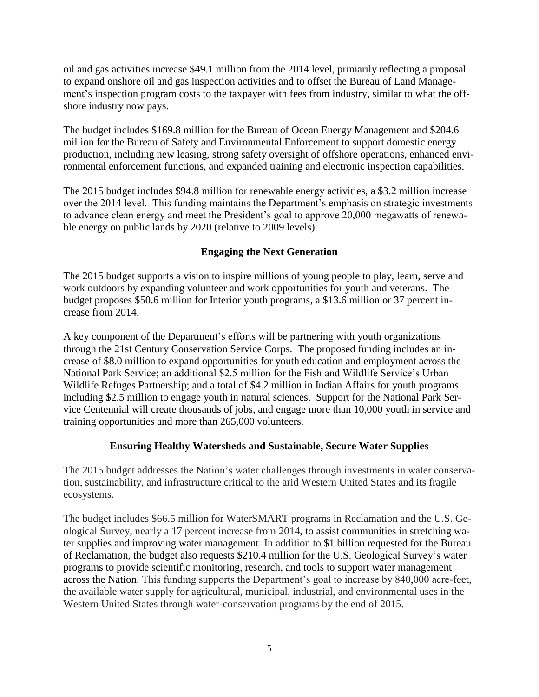oil and gas activities increase \$49.1 million from the 2014 level, primarily reflecting a proposal to expand onshore oil and gas inspection activities and to offset the Bureau of Land Management's inspection program costs to the taxpayer with fees from industry, similar to what the offshore industry now pays.

The budget includes \$169.8 million for the Bureau of Ocean Energy Management and \$204.6 million for the Bureau of Safety and Environmental Enforcement to support domestic energy production, including new leasing, strong safety oversight of offshore operations, enhanced environmental enforcement functions, and expanded training and electronic inspection capabilities.

The 2015 budget includes \$94.8 million for renewable energy activities, a \$3.2 million increase over the 2014 level. This funding maintains the Department's emphasis on strategic investments to advance clean energy and meet the President's goal to approve 20,000 megawatts of renewable energy on public lands by 2020 (relative to 2009 levels).

# **Engaging the Next Generation**

The 2015 budget supports a vision to inspire millions of young people to play, learn, serve and work outdoors by expanding volunteer and work opportunities for youth and veterans. The budget proposes \$50.6 million for Interior youth programs, a \$13.6 million or 37 percent increase from 2014.

A key component of the Department's efforts will be partnering with youth organizations through the 21st Century Conservation Service Corps. The proposed funding includes an increase of \$8.0 million to expand opportunities for youth education and employment across the National Park Service; an additional \$2.5 million for the Fish and Wildlife Service's Urban Wildlife Refuges Partnership; and a total of \$4.2 million in Indian Affairs for youth programs including \$2.5 million to engage youth in natural sciences. Support for the National Park Service Centennial will create thousands of jobs, and engage more than 10,000 youth in service and training opportunities and more than 265,000 volunteers.

# **Ensuring Healthy Watersheds and Sustainable, Secure Water Supplies**

The 2015 budget addresses the Nation's water challenges through investments in water conservation, sustainability, and infrastructure critical to the arid Western United States and its fragile ecosystems.

The budget includes \$66.5 million for WaterSMART programs in Reclamation and the U.S. Geological Survey, nearly a 17 percent increase from 2014, to assist communities in stretching water supplies and improving water management. In addition to \$1 billion requested for the Bureau of Reclamation, the budget also requests \$210.4 million for the U.S. Geological Survey's water programs to provide scientific monitoring, research, and tools to support water management across the Nation. This funding supports the Department's goal to increase by 840,000 acre-feet, the available water supply for agricultural, municipal, industrial, and environmental uses in the Western United States through water-conservation programs by the end of 2015.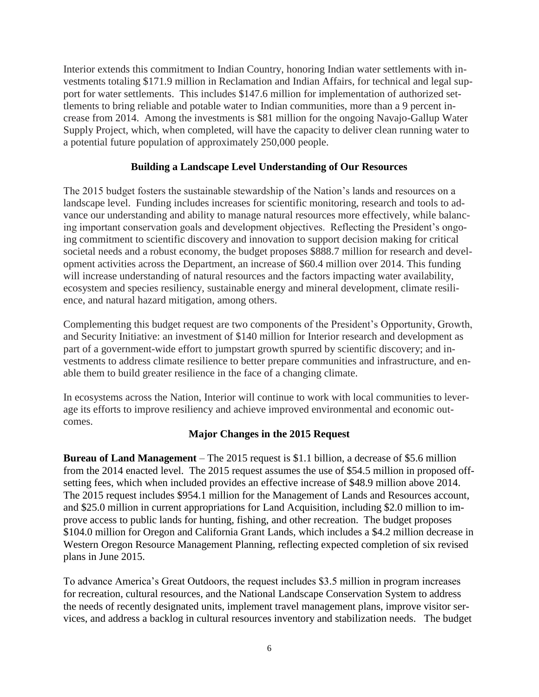Interior extends this commitment to Indian Country, honoring Indian water settlements with investments totaling \$171.9 million in Reclamation and Indian Affairs, for technical and legal support for water settlements. This includes \$147.6 million for implementation of authorized settlements to bring reliable and potable water to Indian communities, more than a 9 percent increase from 2014. Among the investments is \$81 million for the ongoing Navajo-Gallup Water Supply Project, which, when completed, will have the capacity to deliver clean running water to a potential future population of approximately 250,000 people.

## **Building a Landscape Level Understanding of Our Resources**

The 2015 budget fosters the sustainable stewardship of the Nation's lands and resources on a landscape level. Funding includes increases for scientific monitoring, research and tools to advance our understanding and ability to manage natural resources more effectively, while balancing important conservation goals and development objectives. Reflecting the President's ongoing commitment to scientific discovery and innovation to support decision making for critical societal needs and a robust economy, the budget proposes \$888.7 million for research and development activities across the Department, an increase of \$60.4 million over 2014. This funding will increase understanding of natural resources and the factors impacting water availability, ecosystem and species resiliency, sustainable energy and mineral development, climate resilience, and natural hazard mitigation, among others.

Complementing this budget request are two components of the President's Opportunity, Growth, and Security Initiative: an investment of \$140 million for Interior research and development as part of a government-wide effort to jumpstart growth spurred by scientific discovery; and investments to address climate resilience to better prepare communities and infrastructure, and enable them to build greater resilience in the face of a changing climate.

In ecosystems across the Nation, Interior will continue to work with local communities to leverage its efforts to improve resiliency and achieve improved environmental and economic outcomes.

## **Major Changes in the 2015 Request**

**Bureau of Land Management** – The 2015 request is \$1.1 billion, a decrease of \$5.6 million from the 2014 enacted level. The 2015 request assumes the use of \$54.5 million in proposed offsetting fees, which when included provides an effective increase of \$48.9 million above 2014. The 2015 request includes \$954.1 million for the Management of Lands and Resources account, and \$25.0 million in current appropriations for Land Acquisition, including \$2.0 million to improve access to public lands for hunting, fishing, and other recreation. The budget proposes \$104.0 million for Oregon and California Grant Lands, which includes a \$4.2 million decrease in Western Oregon Resource Management Planning, reflecting expected completion of six revised plans in June 2015.

To advance America's Great Outdoors, the request includes \$3.5 million in program increases for recreation, cultural resources, and the National Landscape Conservation System to address the needs of recently designated units, implement travel management plans, improve visitor services, and address a backlog in cultural resources inventory and stabilization needs. The budget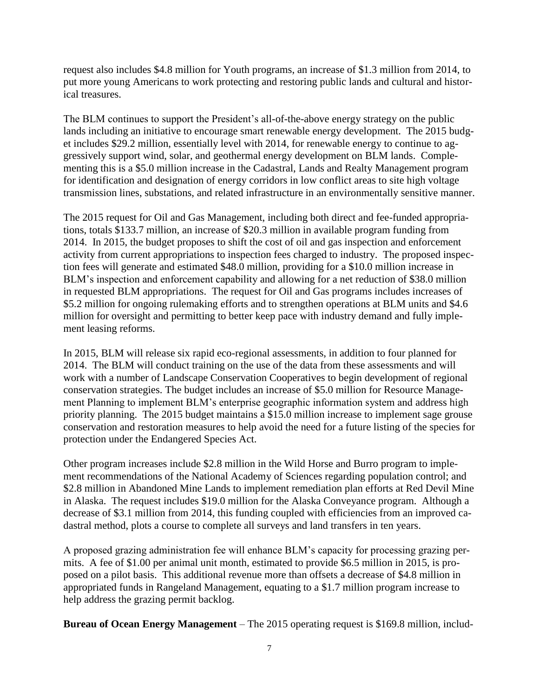request also includes \$4.8 million for Youth programs, an increase of \$1.3 million from 2014, to put more young Americans to work protecting and restoring public lands and cultural and historical treasures.

The BLM continues to support the President's all-of-the-above energy strategy on the public lands including an initiative to encourage smart renewable energy development. The 2015 budget includes \$29.2 million, essentially level with 2014, for renewable energy to continue to aggressively support wind, solar, and geothermal energy development on BLM lands. Complementing this is a \$5.0 million increase in the Cadastral, Lands and Realty Management program for identification and designation of energy corridors in low conflict areas to site high voltage transmission lines, substations, and related infrastructure in an environmentally sensitive manner.

The 2015 request for Oil and Gas Management, including both direct and fee-funded appropriations, totals \$133.7 million, an increase of \$20.3 million in available program funding from 2014. In 2015, the budget proposes to shift the cost of oil and gas inspection and enforcement activity from current appropriations to inspection fees charged to industry. The proposed inspection fees will generate and estimated \$48.0 million, providing for a \$10.0 million increase in BLM's inspection and enforcement capability and allowing for a net reduction of \$38.0 million in requested BLM appropriations. The request for Oil and Gas programs includes increases of \$5.2 million for ongoing rulemaking efforts and to strengthen operations at BLM units and \$4.6 million for oversight and permitting to better keep pace with industry demand and fully implement leasing reforms.

In 2015, BLM will release six rapid eco-regional assessments, in addition to four planned for 2014. The BLM will conduct training on the use of the data from these assessments and will work with a number of Landscape Conservation Cooperatives to begin development of regional conservation strategies. The budget includes an increase of \$5.0 million for Resource Management Planning to implement BLM's enterprise geographic information system and address high priority planning. The 2015 budget maintains a \$15.0 million increase to implement sage grouse conservation and restoration measures to help avoid the need for a future listing of the species for protection under the Endangered Species Act.

Other program increases include \$2.8 million in the Wild Horse and Burro program to implement recommendations of the National Academy of Sciences regarding population control; and \$2.8 million in Abandoned Mine Lands to implement remediation plan efforts at Red Devil Mine in Alaska. The request includes \$19.0 million for the Alaska Conveyance program. Although a decrease of \$3.1 million from 2014, this funding coupled with efficiencies from an improved cadastral method, plots a course to complete all surveys and land transfers in ten years.

A proposed grazing administration fee will enhance BLM's capacity for processing grazing permits. A fee of \$1.00 per animal unit month, estimated to provide \$6.5 million in 2015, is proposed on a pilot basis. This additional revenue more than offsets a decrease of \$4.8 million in appropriated funds in Rangeland Management, equating to a \$1.7 million program increase to help address the grazing permit backlog.

**Bureau of Ocean Energy Management** – The 2015 operating request is \$169.8 million, includ-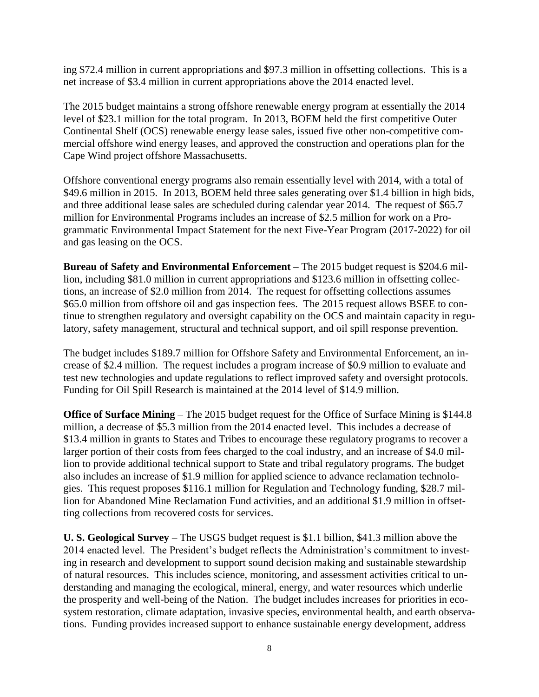ing \$72.4 million in current appropriations and \$97.3 million in offsetting collections. This is a net increase of \$3.4 million in current appropriations above the 2014 enacted level.

The 2015 budget maintains a strong offshore renewable energy program at essentially the 2014 level of \$23.1 million for the total program. In 2013, BOEM held the first competitive Outer Continental Shelf (OCS) renewable energy lease sales, issued five other non-competitive commercial offshore wind energy leases, and approved the construction and operations plan for the Cape Wind project offshore Massachusetts.

Offshore conventional energy programs also remain essentially level with 2014, with a total of \$49.6 million in 2015. In 2013, BOEM held three sales generating over \$1.4 billion in high bids, and three additional lease sales are scheduled during calendar year 2014. The request of \$65.7 million for Environmental Programs includes an increase of \$2.5 million for work on a Programmatic Environmental Impact Statement for the next Five-Year Program (2017-2022) for oil and gas leasing on the OCS.

**Bureau of Safety and Environmental Enforcement** – The 2015 budget request is \$204.6 million, including \$81.0 million in current appropriations and \$123.6 million in offsetting collections, an increase of \$2.0 million from 2014. The request for offsetting collections assumes \$65.0 million from offshore oil and gas inspection fees. The 2015 request allows BSEE to continue to strengthen regulatory and oversight capability on the OCS and maintain capacity in regulatory, safety management, structural and technical support, and oil spill response prevention.

The budget includes \$189.7 million for Offshore Safety and Environmental Enforcement, an increase of \$2.4 million. The request includes a program increase of \$0.9 million to evaluate and test new technologies and update regulations to reflect improved safety and oversight protocols. Funding for Oil Spill Research is maintained at the 2014 level of \$14.9 million.

**Office of Surface Mining** – The 2015 budget request for the Office of Surface Mining is \$144.8 million, a decrease of \$5.3 million from the 2014 enacted level. This includes a decrease of \$13.4 million in grants to States and Tribes to encourage these regulatory programs to recover a larger portion of their costs from fees charged to the coal industry, and an increase of \$4.0 million to provide additional technical support to State and tribal regulatory programs. The budget also includes an increase of \$1.9 million for applied science to advance reclamation technologies. This request proposes \$116.1 million for Regulation and Technology funding, \$28.7 million for Abandoned Mine Reclamation Fund activities, and an additional \$1.9 million in offsetting collections from recovered costs for services.

**U. S. Geological Survey** – The USGS budget request is \$1.1 billion, \$41.3 million above the 2014 enacted level. The President's budget reflects the Administration's commitment to investing in research and development to support sound decision making and sustainable stewardship of natural resources. This includes science, monitoring, and assessment activities critical to understanding and managing the ecological, mineral, energy, and water resources which underlie the prosperity and well-being of the Nation. The budget includes increases for priorities in ecosystem restoration, climate adaptation, invasive species, environmental health, and earth observations. Funding provides increased support to enhance sustainable energy development, address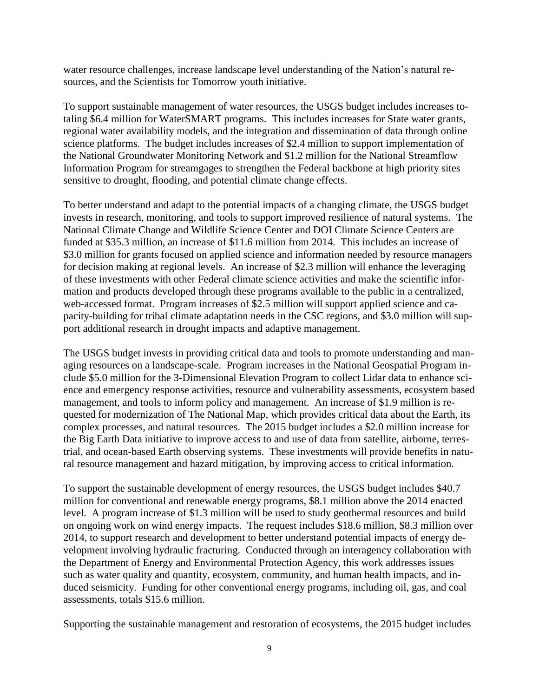water resource challenges, increase landscape level understanding of the Nation's natural resources, and the Scientists for Tomorrow youth initiative.

To support sustainable management of water resources, the USGS budget includes increases totaling \$6.4 million for WaterSMART programs. This includes increases for State water grants, regional water availability models, and the integration and dissemination of data through online science platforms. The budget includes increases of \$2.4 million to support implementation of the National Groundwater Monitoring Network and \$1.2 million for the National Streamflow Information Program for streamgages to strengthen the Federal backbone at high priority sites sensitive to drought, flooding, and potential climate change effects.

To better understand and adapt to the potential impacts of a changing climate, the USGS budget invests in research, monitoring, and tools to support improved resilience of natural systems. The National Climate Change and Wildlife Science Center and DOI Climate Science Centers are funded at \$35.3 million, an increase of \$11.6 million from 2014. This includes an increase of \$3.0 million for grants focused on applied science and information needed by resource managers for decision making at regional levels. An increase of \$2.3 million will enhance the leveraging of these investments with other Federal climate science activities and make the scientific information and products developed through these programs available to the public in a centralized, web-accessed format. Program increases of \$2.5 million will support applied science and capacity-building for tribal climate adaptation needs in the CSC regions, and \$3.0 million will support additional research in drought impacts and adaptive management.

The USGS budget invests in providing critical data and tools to promote understanding and managing resources on a landscape-scale. Program increases in the National Geospatial Program include \$5.0 million for the 3-Dimensional Elevation Program to collect Lidar data to enhance science and emergency response activities, resource and vulnerability assessments, ecosystem based management, and tools to inform policy and management. An increase of \$1.9 million is requested for modernization of The National Map, which provides critical data about the Earth, its complex processes, and natural resources. The 2015 budget includes a \$2.0 million increase for the Big Earth Data initiative to improve access to and use of data from satellite, airborne, terrestrial, and ocean-based Earth observing systems. These investments will provide benefits in natural resource management and hazard mitigation, by improving access to critical information.

To support the sustainable development of energy resources, the USGS budget includes \$40.7 million for conventional and renewable energy programs, \$8.1 million above the 2014 enacted level. A program increase of \$1.3 million will be used to study geothermal resources and build on ongoing work on wind energy impacts. The request includes \$18.6 million, \$8.3 million over 2014, to support research and development to better understand potential impacts of energy development involving hydraulic fracturing. Conducted through an interagency collaboration with the Department of Energy and Environmental Protection Agency, this work addresses issues such as water quality and quantity, ecosystem, community, and human health impacts, and induced seismicity. Funding for other conventional energy programs, including oil, gas, and coal assessments, totals \$15.6 million.

Supporting the sustainable management and restoration of ecosystems, the 2015 budget includes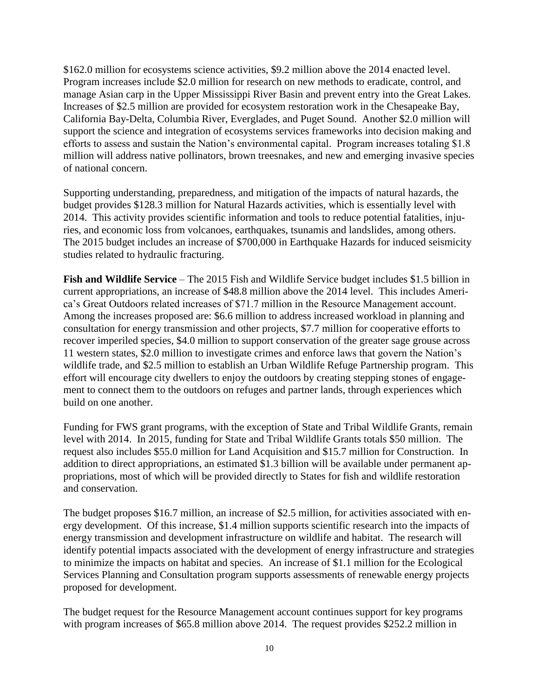\$162.0 million for ecosystems science activities, \$9.2 million above the 2014 enacted level. Program increases include \$2.0 million for research on new methods to eradicate, control, and manage Asian carp in the Upper Mississippi River Basin and prevent entry into the Great Lakes. Increases of \$2.5 million are provided for ecosystem restoration work in the Chesapeake Bay, California Bay-Delta, Columbia River, Everglades, and Puget Sound. Another \$2.0 million will support the science and integration of ecosystems services frameworks into decision making and efforts to assess and sustain the Nation's environmental capital. Program increases totaling \$1.8 million will address native pollinators, brown treesnakes, and new and emerging invasive species of national concern.

Supporting understanding, preparedness, and mitigation of the impacts of natural hazards, the budget provides \$128.3 million for Natural Hazards activities, which is essentially level with 2014. This activity provides scientific information and tools to reduce potential fatalities, injuries, and economic loss from volcanoes, earthquakes, tsunamis and landslides, among others. The 2015 budget includes an increase of \$700,000 in Earthquake Hazards for induced seismicity studies related to hydraulic fracturing.

**Fish and Wildlife Service** – The 2015 Fish and Wildlife Service budget includes \$1.5 billion in current appropriations, an increase of \$48.8 million above the 2014 level. This includes America's Great Outdoors related increases of \$71.7 million in the Resource Management account. Among the increases proposed are: \$6.6 million to address increased workload in planning and consultation for energy transmission and other projects, \$7.7 million for cooperative efforts to recover imperiled species, \$4.0 million to support conservation of the greater sage grouse across 11 western states, \$2.0 million to investigate crimes and enforce laws that govern the Nation's wildlife trade, and \$2.5 million to establish an Urban Wildlife Refuge Partnership program. This effort will encourage city dwellers to enjoy the outdoors by creating stepping stones of engagement to connect them to the outdoors on refuges and partner lands, through experiences which build on one another.

Funding for FWS grant programs, with the exception of State and Tribal Wildlife Grants, remain level with 2014. In 2015, funding for State and Tribal Wildlife Grants totals \$50 million. The request also includes \$55.0 million for Land Acquisition and \$15.7 million for Construction. In addition to direct appropriations, an estimated \$1.3 billion will be available under permanent appropriations, most of which will be provided directly to States for fish and wildlife restoration and conservation.

The budget proposes \$16.7 million, an increase of \$2.5 million, for activities associated with energy development. Of this increase, \$1.4 million supports scientific research into the impacts of energy transmission and development infrastructure on wildlife and habitat. The research will identify potential impacts associated with the development of energy infrastructure and strategies to minimize the impacts on habitat and species. An increase of \$1.1 million for the Ecological Services Planning and Consultation program supports assessments of renewable energy projects proposed for development.

The budget request for the Resource Management account continues support for key programs with program increases of \$65.8 million above 2014. The request provides \$252.2 million in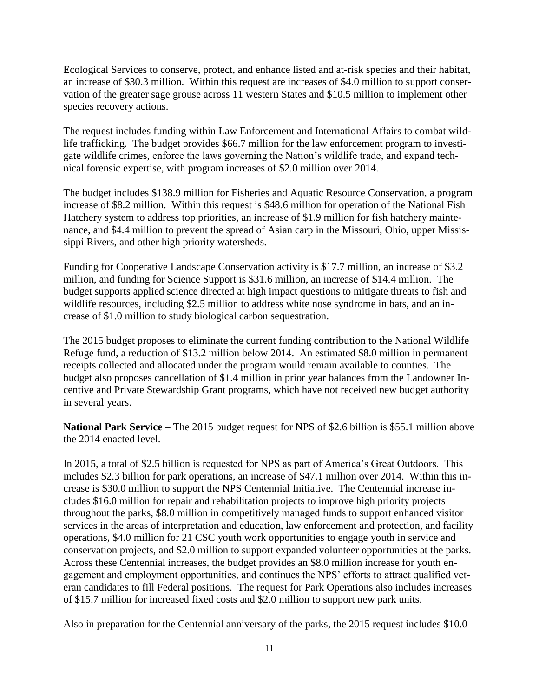Ecological Services to conserve, protect, and enhance listed and at-risk species and their habitat, an increase of \$30.3 million. Within this request are increases of \$4.0 million to support conservation of the greater sage grouse across 11 western States and \$10.5 million to implement other species recovery actions.

The request includes funding within Law Enforcement and International Affairs to combat wildlife trafficking. The budget provides \$66.7 million for the law enforcement program to investigate wildlife crimes, enforce the laws governing the Nation's wildlife trade, and expand technical forensic expertise, with program increases of \$2.0 million over 2014.

The budget includes \$138.9 million for Fisheries and Aquatic Resource Conservation, a program increase of \$8.2 million. Within this request is \$48.6 million for operation of the National Fish Hatchery system to address top priorities, an increase of \$1.9 million for fish hatchery maintenance, and \$4.4 million to prevent the spread of Asian carp in the Missouri, Ohio, upper Mississippi Rivers, and other high priority watersheds.

Funding for Cooperative Landscape Conservation activity is \$17.7 million, an increase of \$3.2 million, and funding for Science Support is \$31.6 million, an increase of \$14.4 million. The budget supports applied science directed at high impact questions to mitigate threats to fish and wildlife resources, including \$2.5 million to address white nose syndrome in bats, and an increase of \$1.0 million to study biological carbon sequestration.

The 2015 budget proposes to eliminate the current funding contribution to the National Wildlife Refuge fund, a reduction of \$13.2 million below 2014. An estimated \$8.0 million in permanent receipts collected and allocated under the program would remain available to counties. The budget also proposes cancellation of \$1.4 million in prior year balances from the Landowner Incentive and Private Stewardship Grant programs, which have not received new budget authority in several years.

**National Park Service –** The 2015 budget request for NPS of \$2.6 billion is \$55.1 million above the 2014 enacted level.

In 2015, a total of \$2.5 billion is requested for NPS as part of America's Great Outdoors. This includes \$2.3 billion for park operations, an increase of \$47.1 million over 2014. Within this increase is \$30.0 million to support the NPS Centennial Initiative. The Centennial increase includes \$16.0 million for repair and rehabilitation projects to improve high priority projects throughout the parks, \$8.0 million in competitively managed funds to support enhanced visitor services in the areas of interpretation and education, law enforcement and protection, and facility operations, \$4.0 million for 21 CSC youth work opportunities to engage youth in service and conservation projects, and \$2.0 million to support expanded volunteer opportunities at the parks. Across these Centennial increases, the budget provides an \$8.0 million increase for youth engagement and employment opportunities, and continues the NPS' efforts to attract qualified veteran candidates to fill Federal positions. The request for Park Operations also includes increases of \$15.7 million for increased fixed costs and \$2.0 million to support new park units.

Also in preparation for the Centennial anniversary of the parks, the 2015 request includes \$10.0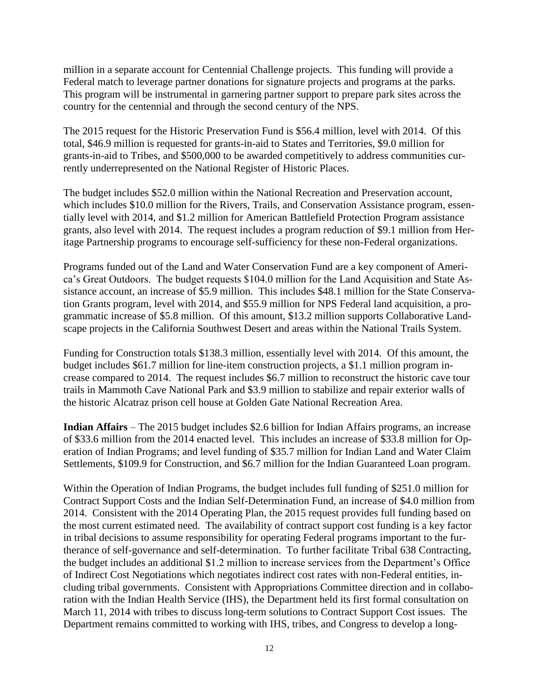million in a separate account for Centennial Challenge projects. This funding will provide a Federal match to leverage partner donations for signature projects and programs at the parks. This program will be instrumental in garnering partner support to prepare park sites across the country for the centennial and through the second century of the NPS.

The 2015 request for the Historic Preservation Fund is \$56.4 million, level with 2014. Of this total, \$46.9 million is requested for grants-in-aid to States and Territories, \$9.0 million for grants-in-aid to Tribes, and \$500,000 to be awarded competitively to address communities currently underrepresented on the National Register of Historic Places.

The budget includes \$52.0 million within the National Recreation and Preservation account, which includes \$10.0 million for the Rivers, Trails, and Conservation Assistance program, essentially level with 2014, and \$1.2 million for American Battlefield Protection Program assistance grants, also level with 2014. The request includes a program reduction of \$9.1 million from Heritage Partnership programs to encourage self-sufficiency for these non-Federal organizations.

Programs funded out of the Land and Water Conservation Fund are a key component of America's Great Outdoors. The budget requests \$104.0 million for the Land Acquisition and State Assistance account, an increase of \$5.9 million. This includes \$48.1 million for the State Conservation Grants program, level with 2014, and \$55.9 million for NPS Federal land acquisition, a programmatic increase of \$5.8 million. Of this amount, \$13.2 million supports Collaborative Landscape projects in the California Southwest Desert and areas within the National Trails System.

Funding for Construction totals \$138.3 million, essentially level with 2014. Of this amount, the budget includes \$61.7 million for line-item construction projects, a \$1.1 million program increase compared to 2014. The request includes \$6.7 million to reconstruct the historic cave tour trails in Mammoth Cave National Park and \$3.9 million to stabilize and repair exterior walls of the historic Alcatraz prison cell house at Golden Gate National Recreation Area.

**Indian Affairs** – The 2015 budget includes \$2.6 billion for Indian Affairs programs, an increase of \$33.6 million from the 2014 enacted level. This includes an increase of \$33.8 million for Operation of Indian Programs; and level funding of \$35.7 million for Indian Land and Water Claim Settlements, \$109.9 for Construction, and \$6.7 million for the Indian Guaranteed Loan program.

Within the Operation of Indian Programs, the budget includes full funding of \$251.0 million for Contract Support Costs and the Indian Self-Determination Fund, an increase of \$4.0 million from 2014. Consistent with the 2014 Operating Plan, the 2015 request provides full funding based on the most current estimated need. The availability of contract support cost funding is a key factor in tribal decisions to assume responsibility for operating Federal programs important to the furtherance of self-governance and self-determination. To further facilitate Tribal 638 Contracting, the budget includes an additional \$1.2 million to increase services from the Department's Office of Indirect Cost Negotiations which negotiates indirect cost rates with non-Federal entities, including tribal governments. Consistent with Appropriations Committee direction and in collaboration with the Indian Health Service (IHS), the Department held its first formal consultation on March 11, 2014 with tribes to discuss long-term solutions to Contract Support Cost issues. The Department remains committed to working with IHS, tribes, and Congress to develop a long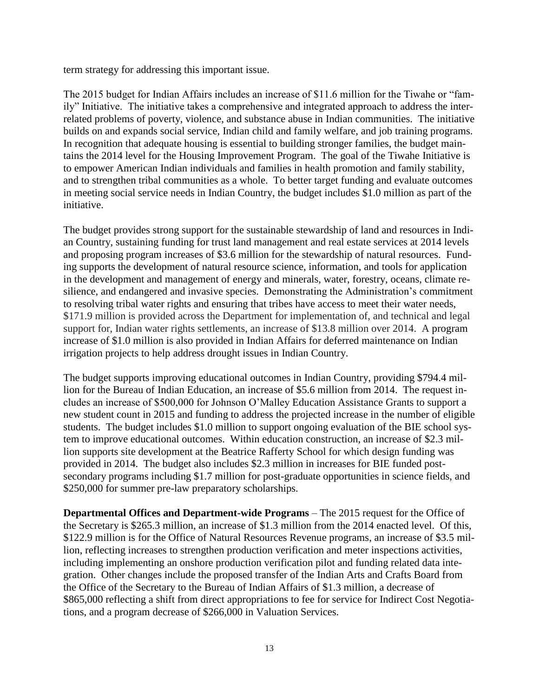term strategy for addressing this important issue.

The 2015 budget for Indian Affairs includes an increase of \$11.6 million for the Tiwahe or "family" Initiative. The initiative takes a comprehensive and integrated approach to address the interrelated problems of poverty, violence, and substance abuse in Indian communities. The initiative builds on and expands social service, Indian child and family welfare, and job training programs. In recognition that adequate housing is essential to building stronger families, the budget maintains the 2014 level for the Housing Improvement Program. The goal of the Tiwahe Initiative is to empower American Indian individuals and families in health promotion and family stability, and to strengthen tribal communities as a whole. To better target funding and evaluate outcomes in meeting social service needs in Indian Country, the budget includes \$1.0 million as part of the initiative.

The budget provides strong support for the sustainable stewardship of land and resources in Indian Country, sustaining funding for trust land management and real estate services at 2014 levels and proposing program increases of \$3.6 million for the stewardship of natural resources. Funding supports the development of natural resource science, information, and tools for application in the development and management of energy and minerals, water, forestry, oceans, climate resilience, and endangered and invasive species. Demonstrating the Administration's commitment to resolving tribal water rights and ensuring that tribes have access to meet their water needs, \$171.9 million is provided across the Department for implementation of, and technical and legal support for, Indian water rights settlements, an increase of \$13.8 million over 2014. A program increase of \$1.0 million is also provided in Indian Affairs for deferred maintenance on Indian irrigation projects to help address drought issues in Indian Country.

The budget supports improving educational outcomes in Indian Country, providing \$794.4 million for the Bureau of Indian Education, an increase of \$5.6 million from 2014. The request includes an increase of \$500,000 for Johnson O'Malley Education Assistance Grants to support a new student count in 2015 and funding to address the projected increase in the number of eligible students. The budget includes \$1.0 million to support ongoing evaluation of the BIE school system to improve educational outcomes. Within education construction, an increase of \$2.3 million supports site development at the Beatrice Rafferty School for which design funding was provided in 2014. The budget also includes \$2.3 million in increases for BIE funded postsecondary programs including \$1.7 million for post-graduate opportunities in science fields, and \$250,000 for summer pre-law preparatory scholarships.

**Departmental Offices and Department-wide Programs** – The 2015 request for the Office of the Secretary is \$265.3 million, an increase of \$1.3 million from the 2014 enacted level. Of this, \$122.9 million is for the Office of Natural Resources Revenue programs, an increase of \$3.5 million, reflecting increases to strengthen production verification and meter inspections activities, including implementing an onshore production verification pilot and funding related data integration. Other changes include the proposed transfer of the Indian Arts and Crafts Board from the Office of the Secretary to the Bureau of Indian Affairs of \$1.3 million, a decrease of \$865,000 reflecting a shift from direct appropriations to fee for service for Indirect Cost Negotiations, and a program decrease of \$266,000 in Valuation Services.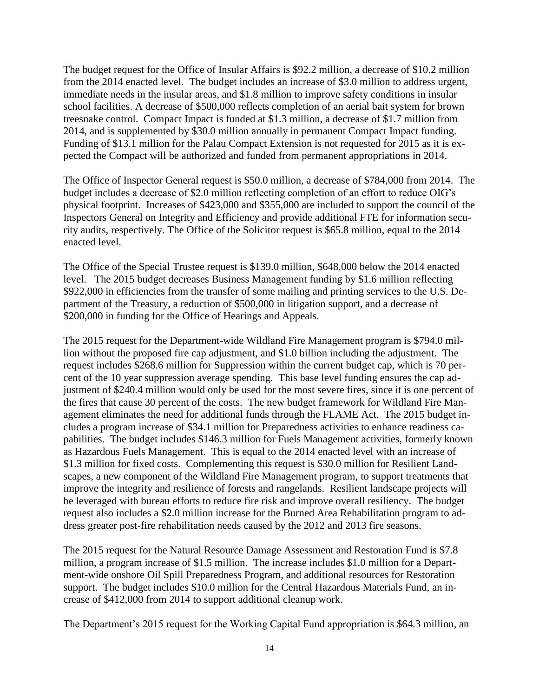The budget request for the Office of Insular Affairs is \$92.2 million, a decrease of \$10.2 million from the 2014 enacted level. The budget includes an increase of \$3.0 million to address urgent, immediate needs in the insular areas, and \$1.8 million to improve safety conditions in insular school facilities. A decrease of \$500,000 reflects completion of an aerial bait system for brown treesnake control. Compact Impact is funded at \$1.3 million, a decrease of \$1.7 million from 2014, and is supplemented by \$30.0 million annually in permanent Compact Impact funding. Funding of \$13.1 million for the Palau Compact Extension is not requested for 2015 as it is expected the Compact will be authorized and funded from permanent appropriations in 2014.

The Office of Inspector General request is \$50.0 million, a decrease of \$784,000 from 2014. The budget includes a decrease of \$2.0 million reflecting completion of an effort to reduce OIG's physical footprint. Increases of \$423,000 and \$355,000 are included to support the council of the Inspectors General on Integrity and Efficiency and provide additional FTE for information security audits, respectively. The Office of the Solicitor request is \$65.8 million, equal to the 2014 enacted level.

The Office of the Special Trustee request is \$139.0 million, \$648,000 below the 2014 enacted level. The 2015 budget decreases Business Management funding by \$1.6 million reflecting \$922,000 in efficiencies from the transfer of some mailing and printing services to the U.S. Department of the Treasury, a reduction of \$500,000 in litigation support, and a decrease of \$200,000 in funding for the Office of Hearings and Appeals.

The 2015 request for the Department-wide Wildland Fire Management program is \$794.0 million without the proposed fire cap adjustment, and \$1.0 billion including the adjustment. The request includes \$268.6 million for Suppression within the current budget cap, which is 70 percent of the 10 year suppression average spending. This base level funding ensures the cap adjustment of \$240.4 million would only be used for the most severe fires, since it is one percent of the fires that cause 30 percent of the costs. The new budget framework for Wildland Fire Management eliminates the need for additional funds through the FLAME Act. The 2015 budget includes a program increase of \$34.1 million for Preparedness activities to enhance readiness capabilities. The budget includes \$146.3 million for Fuels Management activities, formerly known as Hazardous Fuels Management. This is equal to the 2014 enacted level with an increase of \$1.3 million for fixed costs. Complementing this request is \$30.0 million for Resilient Landscapes, a new component of the Wildland Fire Management program, to support treatments that improve the integrity and resilience of forests and rangelands. Resilient landscape projects will be leveraged with bureau efforts to reduce fire risk and improve overall resiliency. The budget request also includes a \$2.0 million increase for the Burned Area Rehabilitation program to address greater post-fire rehabilitation needs caused by the 2012 and 2013 fire seasons.

The 2015 request for the Natural Resource Damage Assessment and Restoration Fund is \$7.8 million, a program increase of \$1.5 million. The increase includes \$1.0 million for a Department-wide onshore Oil Spill Preparedness Program, and additional resources for Restoration support. The budget includes \$10.0 million for the Central Hazardous Materials Fund, an increase of \$412,000 from 2014 to support additional cleanup work.

The Department's 2015 request for the Working Capital Fund appropriation is \$64.3 million, an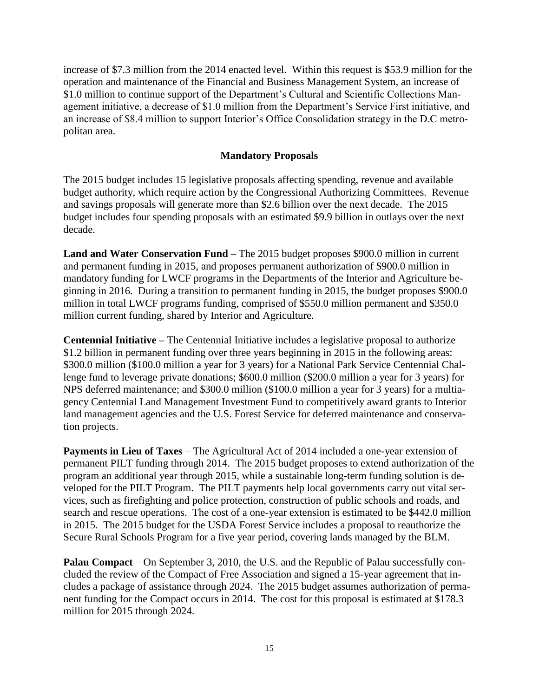increase of \$7.3 million from the 2014 enacted level. Within this request is \$53.9 million for the operation and maintenance of the Financial and Business Management System, an increase of \$1.0 million to continue support of the Department's Cultural and Scientific Collections Management initiative, a decrease of \$1.0 million from the Department's Service First initiative, and an increase of \$8.4 million to support Interior's Office Consolidation strategy in the D.C metropolitan area.

#### **Mandatory Proposals**

The 2015 budget includes 15 legislative proposals affecting spending, revenue and available budget authority, which require action by the Congressional Authorizing Committees. Revenue and savings proposals will generate more than \$2.6 billion over the next decade. The 2015 budget includes four spending proposals with an estimated \$9.9 billion in outlays over the next decade.

**Land and Water Conservation Fund** – The 2015 budget proposes \$900.0 million in current and permanent funding in 2015, and proposes permanent authorization of \$900.0 million in mandatory funding for LWCF programs in the Departments of the Interior and Agriculture beginning in 2016. During a transition to permanent funding in 2015, the budget proposes \$900.0 million in total LWCF programs funding, comprised of \$550.0 million permanent and \$350.0 million current funding, shared by Interior and Agriculture.

**Centennial Initiative –** The Centennial Initiative includes a legislative proposal to authorize \$1.2 billion in permanent funding over three years beginning in 2015 in the following areas: \$300.0 million (\$100.0 million a year for 3 years) for a National Park Service Centennial Challenge fund to leverage private donations; \$600.0 million (\$200.0 million a year for 3 years) for NPS deferred maintenance; and \$300.0 million (\$100.0 million a year for 3 years) for a multiagency Centennial Land Management Investment Fund to competitively award grants to Interior land management agencies and the U.S. Forest Service for deferred maintenance and conservation projects.

**Payments in Lieu of Taxes** – The Agricultural Act of 2014 included a one-year extension of permanent PILT funding through 2014. The 2015 budget proposes to extend authorization of the program an additional year through 2015, while a sustainable long-term funding solution is developed for the PILT Program. The PILT payments help local governments carry out vital services, such as firefighting and police protection, construction of public schools and roads, and search and rescue operations. The cost of a one-year extension is estimated to be \$442.0 million in 2015. The 2015 budget for the USDA Forest Service includes a proposal to reauthorize the Secure Rural Schools Program for a five year period, covering lands managed by the BLM.

**Palau Compact** – On September 3, 2010, the U.S. and the Republic of Palau successfully concluded the review of the Compact of Free Association and signed a 15-year agreement that includes a package of assistance through 2024. The 2015 budget assumes authorization of permanent funding for the Compact occurs in 2014. The cost for this proposal is estimated at \$178.3 million for 2015 through 2024.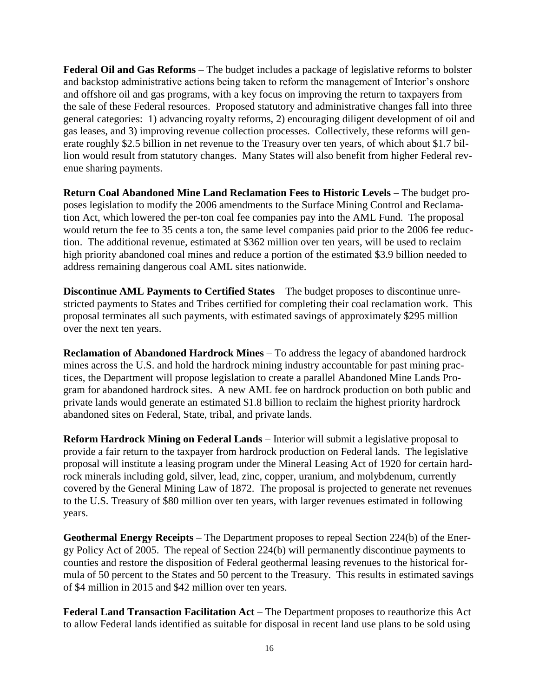**Federal Oil and Gas Reforms** – The budget includes a package of legislative reforms to bolster and backstop administrative actions being taken to reform the management of Interior's onshore and offshore oil and gas programs, with a key focus on improving the return to taxpayers from the sale of these Federal resources. Proposed statutory and administrative changes fall into three general categories: 1) advancing royalty reforms, 2) encouraging diligent development of oil and gas leases, and 3) improving revenue collection processes. Collectively, these reforms will generate roughly \$2.5 billion in net revenue to the Treasury over ten years, of which about \$1.7 billion would result from statutory changes. Many States will also benefit from higher Federal revenue sharing payments.

**Return Coal Abandoned Mine Land Reclamation Fees to Historic Levels** – The budget proposes legislation to modify the 2006 amendments to the Surface Mining Control and Reclamation Act, which lowered the per-ton coal fee companies pay into the AML Fund. The proposal would return the fee to 35 cents a ton, the same level companies paid prior to the 2006 fee reduction. The additional revenue, estimated at \$362 million over ten years, will be used to reclaim high priority abandoned coal mines and reduce a portion of the estimated \$3.9 billion needed to address remaining dangerous coal AML sites nationwide.

**Discontinue AML Payments to Certified States** – The budget proposes to discontinue unrestricted payments to States and Tribes certified for completing their coal reclamation work. This proposal terminates all such payments, with estimated savings of approximately \$295 million over the next ten years.

**Reclamation of Abandoned Hardrock Mines** – To address the legacy of abandoned hardrock mines across the U.S. and hold the hardrock mining industry accountable for past mining practices, the Department will propose legislation to create a parallel Abandoned Mine Lands Program for abandoned hardrock sites. A new AML fee on hardrock production on both public and private lands would generate an estimated \$1.8 billion to reclaim the highest priority hardrock abandoned sites on Federal, State, tribal, and private lands.

**Reform Hardrock Mining on Federal Lands** – Interior will submit a legislative proposal to provide a fair return to the taxpayer from hardrock production on Federal lands. The legislative proposal will institute a leasing program under the Mineral Leasing Act of 1920 for certain hardrock minerals including gold, silver, lead, zinc, copper, uranium, and molybdenum, currently covered by the General Mining Law of 1872. The proposal is projected to generate net revenues to the U.S. Treasury of \$80 million over ten years, with larger revenues estimated in following years.

**Geothermal Energy Receipts** – The Department proposes to repeal Section 224(b) of the Energy Policy Act of 2005. The repeal of Section 224(b) will permanently discontinue payments to counties and restore the disposition of Federal geothermal leasing revenues to the historical formula of 50 percent to the States and 50 percent to the Treasury. This results in estimated savings of \$4 million in 2015 and \$42 million over ten years.

**Federal Land Transaction Facilitation Act** – The Department proposes to reauthorize this Act to allow Federal lands identified as suitable for disposal in recent land use plans to be sold using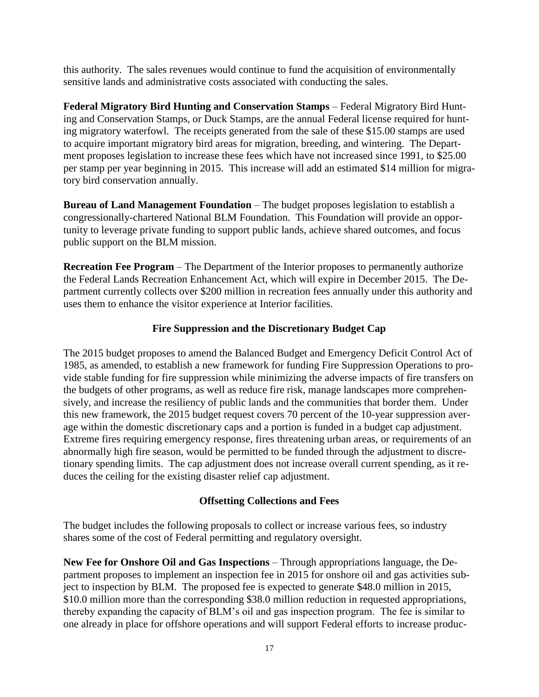this authority. The sales revenues would continue to fund the acquisition of environmentally sensitive lands and administrative costs associated with conducting the sales.

**Federal Migratory Bird Hunting and Conservation Stamps** – Federal Migratory Bird Hunting and Conservation Stamps, or Duck Stamps, are the annual Federal license required for hunting migratory waterfowl. The receipts generated from the sale of these \$15.00 stamps are used to acquire important migratory bird areas for migration, breeding, and wintering. The Department proposes legislation to increase these fees which have not increased since 1991, to \$25.00 per stamp per year beginning in 2015. This increase will add an estimated \$14 million for migratory bird conservation annually.

**Bureau of Land Management Foundation** – The budget proposes legislation to establish a congressionally-chartered National BLM Foundation. This Foundation will provide an opportunity to leverage private funding to support public lands, achieve shared outcomes, and focus public support on the BLM mission.

**Recreation Fee Program** – The Department of the Interior proposes to permanently authorize the Federal Lands Recreation Enhancement Act, which will expire in December 2015. The Department currently collects over \$200 million in recreation fees annually under this authority and uses them to enhance the visitor experience at Interior facilities.

# **Fire Suppression and the Discretionary Budget Cap**

The 2015 budget proposes to amend the Balanced Budget and Emergency Deficit Control Act of 1985, as amended, to establish a new framework for funding Fire Suppression Operations to provide stable funding for fire suppression while minimizing the adverse impacts of fire transfers on the budgets of other programs, as well as reduce fire risk, manage landscapes more comprehensively, and increase the resiliency of public lands and the communities that border them. Under this new framework, the 2015 budget request covers 70 percent of the 10-year suppression average within the domestic discretionary caps and a portion is funded in a budget cap adjustment. Extreme fires requiring emergency response, fires threatening urban areas, or requirements of an abnormally high fire season, would be permitted to be funded through the adjustment to discretionary spending limits. The cap adjustment does not increase overall current spending, as it reduces the ceiling for the existing disaster relief cap adjustment.

# **Offsetting Collections and Fees**

The budget includes the following proposals to collect or increase various fees, so industry shares some of the cost of Federal permitting and regulatory oversight.

**New Fee for Onshore Oil and Gas Inspections** – Through appropriations language, the Department proposes to implement an inspection fee in 2015 for onshore oil and gas activities subject to inspection by BLM. The proposed fee is expected to generate \$48.0 million in 2015, \$10.0 million more than the corresponding \$38.0 million reduction in requested appropriations, thereby expanding the capacity of BLM's oil and gas inspection program. The fee is similar to one already in place for offshore operations and will support Federal efforts to increase produc